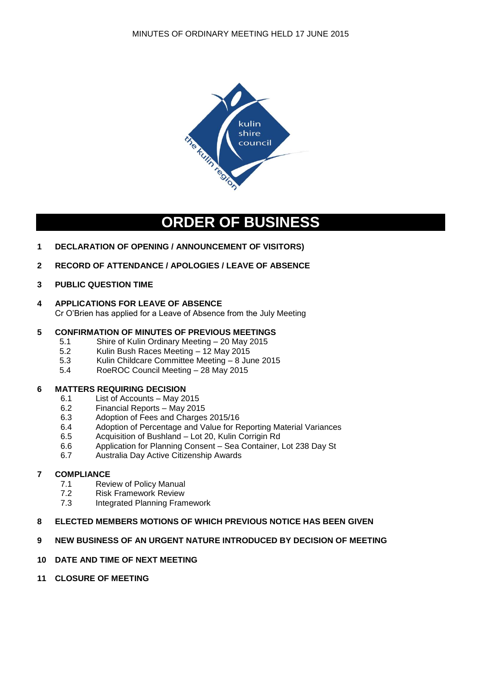

# **ORDER OF BUSINESS**

- **1 DECLARATION OF OPENING / ANNOUNCEMENT OF VISITORS)**
- **2 RECORD OF ATTENDANCE / APOLOGIES / LEAVE OF ABSENCE**
- **3 PUBLIC QUESTION TIME**
- **4 APPLICATIONS FOR LEAVE OF ABSENCE** Cr O'Brien has applied for a Leave of Absence from the July Meeting

## **5 CONFIRMATION OF MINUTES OF PREVIOUS MEETINGS**

- 5.1 Shire of Kulin Ordinary Meeting 20 May 2015
- 5.2 Kulin Bush Races Meeting 12 May 2015
- 5.3 Kulin Childcare Committee Meeting 8 June 2015
- 5.4 RoeROC Council Meeting 28 May 2015

## **6 MATTERS REQUIRING DECISION**

- 6.1 List of Accounts May 2015
- 6.2 Financial Reports May 2015
- 6.3 Adoption of Fees and Charges 2015/16
- 6.4 Adoption of Percentage and Value for Reporting Material Variances
- 6.5 Acquisition of Bushland Lot 20, Kulin Corrigin Rd
- 6.6 Application for Planning Consent Sea Container, Lot 238 Day St
- 6.7 Australia Day Active Citizenship Awards

## **7 COMPLIANCE**

- 7.1 Review of Policy Manual
- 7.2 Risk Framework Review
- 7.3 Integrated Planning Framework

#### **8 ELECTED MEMBERS MOTIONS OF WHICH PREVIOUS NOTICE HAS BEEN GIVEN**

**9 NEW BUSINESS OF AN URGENT NATURE INTRODUCED BY DECISION OF MEETING**

#### **10 DATE AND TIME OF NEXT MEETING**

**11 CLOSURE OF MEETING**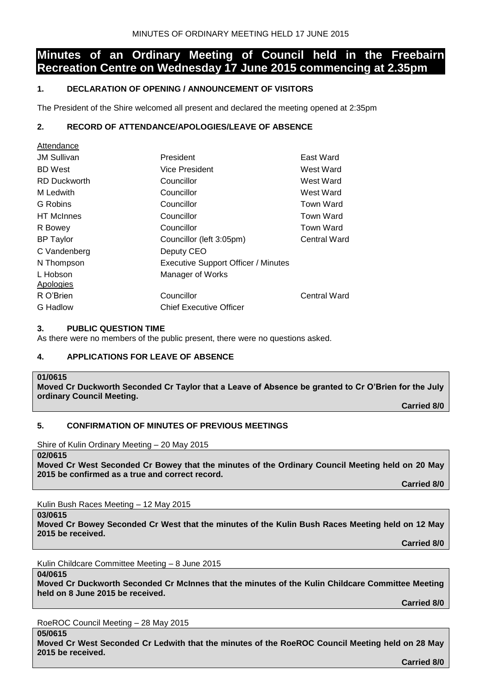# **Minutes of an Ordinary Meeting of Council held in the Freebairn Recreation Centre on Wednesday 17 June 2015 commencing at 2.35pm**

## **1. DECLARATION OF OPENING / ANNOUNCEMENT OF VISITORS**

The President of the Shire welcomed all present and declared the meeting opened at 2:35pm

## **2. RECORD OF ATTENDANCE/APOLOGIES/LEAVE OF ABSENCE**

| Allenuance          |                                            |                  |
|---------------------|--------------------------------------------|------------------|
| <b>JM Sullivan</b>  | President                                  | East Ward        |
| <b>BD</b> West      | Vice President                             | West Ward        |
| <b>RD Duckworth</b> | Councillor                                 | West Ward        |
| M Ledwith           | Councillor                                 | West Ward        |
| G Robins            | Councillor                                 | Town Ward        |
| <b>HT</b> McInnes   | Councillor                                 | Town Ward        |
| R Bowey             | Councillor                                 | <b>Town Ward</b> |
| <b>BP Taylor</b>    | Councillor (left 3:05pm)                   | Central Ward     |
| C Vandenberg        | Deputy CEO                                 |                  |
| N Thompson          | <b>Executive Support Officer / Minutes</b> |                  |
| L Hobson            | Manager of Works                           |                  |
| Apologies           |                                            |                  |
| R O'Brien           | Councillor                                 | Central Ward     |
| G Hadlow            | <b>Chief Executive Officer</b>             |                  |
|                     |                                            |                  |

## **3. PUBLIC QUESTION TIME**

As there were no members of the public present, there were no questions asked.

## **4. APPLICATIONS FOR LEAVE OF ABSENCE**

**01/0615 Moved Cr Duckworth Seconded Cr Taylor that a Leave of Absence be granted to Cr O'Brien for the July ordinary Council Meeting.**

**Carried 8/0**

## **5. CONFIRMATION OF MINUTES OF PREVIOUS MEETINGS**

Shire of Kulin Ordinary Meeting – 20 May 2015

**02/0615**

Attendance

**Moved Cr West Seconded Cr Bowey that the minutes of the Ordinary Council Meeting held on 20 May 2015 be confirmed as a true and correct record.**

**Carried 8/0**

Kulin Bush Races Meeting – 12 May 2015

**03/0615**

**Moved Cr Bowey Seconded Cr West that the minutes of the Kulin Bush Races Meeting held on 12 May 2015 be received.**

**Carried 8/0**

Kulin Childcare Committee Meeting – 8 June 2015

**04/0615**

**Moved Cr Duckworth Seconded Cr McInnes that the minutes of the Kulin Childcare Committee Meeting held on 8 June 2015 be received.**

**Carried 8/0**

RoeROC Council Meeting – 28 May 2015

**05/0615**

**Moved Cr West Seconded Cr Ledwith that the minutes of the RoeROC Council Meeting held on 28 May 2015 be received. Carried 8/0**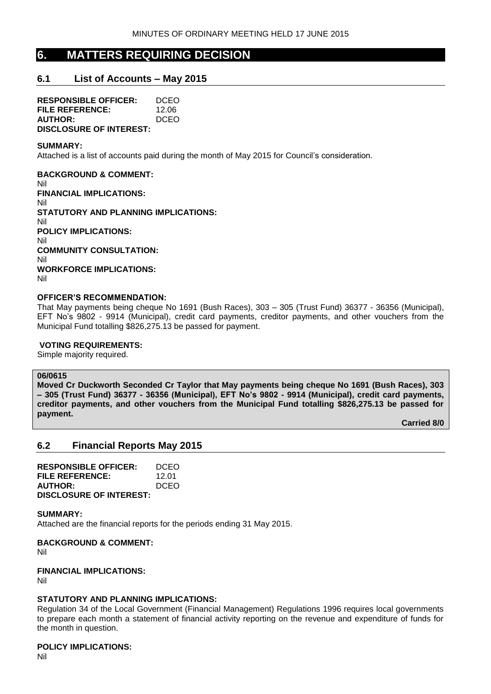# **6. MATTERS REQUIRING DECISION**

## **6.1 List of Accounts – May 2015**

**RESPONSIBLE OFFICER:** DCEO **FILE REFERENCE:** 12.06 **AUTHOR:** DCEO **DISCLOSURE OF INTEREST:**

#### **SUMMARY:**

Attached is a list of accounts paid during the month of May 2015 for Council's consideration.

**BACKGROUND & COMMENT:** Nil **FINANCIAL IMPLICATIONS:** Nil **STATUTORY AND PLANNING IMPLICATIONS:** Nil **POLICY IMPLICATIONS:** Nil **COMMUNITY CONSULTATION:** Nil **WORKFORCE IMPLICATIONS:** Nil

#### **OFFICER'S RECOMMENDATION:**

That May payments being cheque No 1691 (Bush Races), 303 – 305 (Trust Fund) 36377 - 36356 (Municipal), EFT No's 9802 - 9914 (Municipal), credit card payments, creditor payments, and other vouchers from the Municipal Fund totalling \$826,275.13 be passed for payment.

#### **VOTING REQUIREMENTS:**

Simple majority required.

## **06/0615**

**Moved Cr Duckworth Seconded Cr Taylor that May payments being cheque No 1691 (Bush Races), 303 – 305 (Trust Fund) 36377 - 36356 (Municipal), EFT No's 9802 - 9914 (Municipal), credit card payments, creditor payments, and other vouchers from the Municipal Fund totalling \$826,275.13 be passed for payment.**

**Carried 8/0**

## **6.2 Financial Reports May 2015**

| <b>RESPONSIBLE OFFICER:</b>    | DCEO        |
|--------------------------------|-------------|
| <b>FILE REFERENCE:</b>         | 12.01       |
| <b>AUTHOR:</b>                 | <b>DCEO</b> |
| <b>DISCLOSURE OF INTEREST:</b> |             |

**SUMMARY:**

Attached are the financial reports for the periods ending 31 May 2015.

**BACKGROUND & COMMENT:**

Nil

#### **FINANCIAL IMPLICATIONS:**

Nil

#### **STATUTORY AND PLANNING IMPLICATIONS:**

Regulation 34 of the Local Government (Financial Management) Regulations 1996 requires local governments to prepare each month a statement of financial activity reporting on the revenue and expenditure of funds for the month in question.

### **POLICY IMPLICATIONS:**

Nil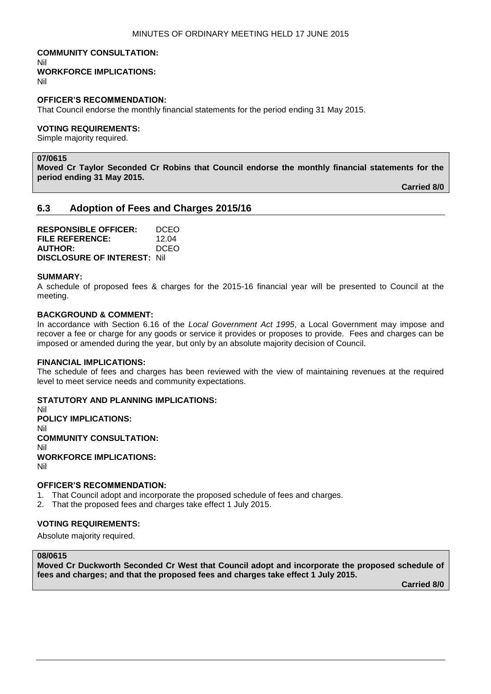#### **COMMUNITY CONSULTATION:** Nil **WORKFORCE IMPLICATIONS:**

Nil

## **OFFICER'S RECOMMENDATION:**

That Council endorse the monthly financial statements for the period ending 31 May 2015.

#### **VOTING REQUIREMENTS:**

Simple majority required.

# **07/0615**

**Moved Cr Taylor Seconded Cr Robins that Council endorse the monthly financial statements for the period ending 31 May 2015.**

**Carried 8/0**

## **6.3 Adoption of Fees and Charges 2015/16**

**RESPONSIBLE OFFICER:** DCEO **FILE REFERENCE:** 12.04 **AUTHOR:** DCEO **DISCLOSURE OF INTEREST:** Nil

#### **SUMMARY:**

A schedule of proposed fees & charges for the 2015-16 financial year will be presented to Council at the meeting.

#### **BACKGROUND & COMMENT:**

In accordance with Section 6.16 of the *Local Government Act 1995*, a Local Government may impose and recover a fee or charge for any goods or service it provides or proposes to provide. Fees and charges can be imposed or amended during the year, but only by an absolute majority decision of Council.

#### **FINANCIAL IMPLICATIONS:**

The schedule of fees and charges has been reviewed with the view of maintaining revenues at the required level to meet service needs and community expectations.

#### **STATUTORY AND PLANNING IMPLICATIONS:**

Nil **POLICY IMPLICATIONS:** Nil **COMMUNITY CONSULTATION:** Nil **WORKFORCE IMPLICATIONS:** Nil

#### **OFFICER'S RECOMMENDATION:**

- 1. That Council adopt and incorporate the proposed schedule of fees and charges.
- 2. That the proposed fees and charges take effect 1 July 2015.

## **VOTING REQUIREMENTS:**

Absolute majority required.

### **08/0615**

**Moved Cr Duckworth Seconded Cr West that Council adopt and incorporate the proposed schedule of fees and charges; and that the proposed fees and charges take effect 1 July 2015.**

**Carried 8/0**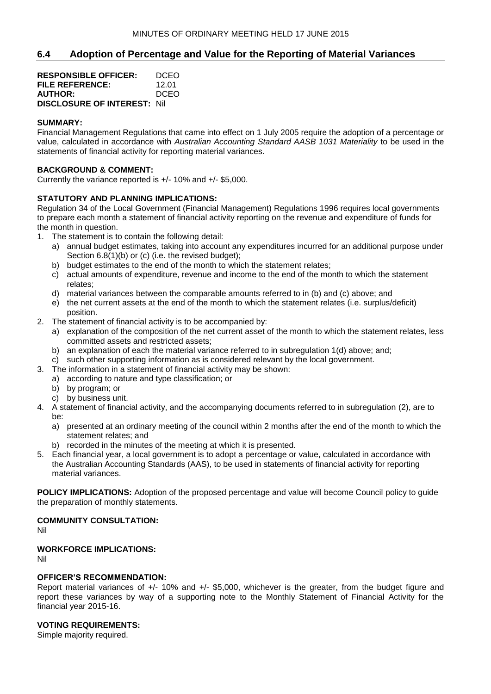## **6.4 Adoption of Percentage and Value for the Reporting of Material Variances**

| <b>RESPONSIBLE OFFICER:</b>         | DCEO  |
|-------------------------------------|-------|
| FILE REFERENCE:                     | 12.01 |
| <b>AUTHOR:</b>                      | DCEO  |
| <b>DISCLOSURE OF INTEREST: Nill</b> |       |

## **SUMMARY:**

Financial Management Regulations that came into effect on 1 July 2005 require the adoption of a percentage or value, calculated in accordance with *Australian Accounting Standard AASB 1031 Materiality* to be used in the statements of financial activity for reporting material variances.

#### **BACKGROUND & COMMENT:**

Currently the variance reported is +/- 10% and +/- \$5,000.

### **STATUTORY AND PLANNING IMPLICATIONS:**

Regulation 34 of the Local Government (Financial Management) Regulations 1996 requires local governments to prepare each month a statement of financial activity reporting on the revenue and expenditure of funds for the month in question.

- 1. The statement is to contain the following detail:
	- a) annual budget estimates, taking into account any expenditures incurred for an additional purpose under Section 6.8(1)(b) or (c) (i.e. the revised budget);
	- b) budget estimates to the end of the month to which the statement relates;
	- c) actual amounts of expenditure, revenue and income to the end of the month to which the statement relates;
	- d) material variances between the comparable amounts referred to in (b) and (c) above; and
	- e) the net current assets at the end of the month to which the statement relates (i.e. surplus/deficit) position.
- 2. The statement of financial activity is to be accompanied by:
	- a) explanation of the composition of the net current asset of the month to which the statement relates, less committed assets and restricted assets;
	- b) an explanation of each the material variance referred to in subregulation 1(d) above; and;
	- c) such other supporting information as is considered relevant by the local government.
- 3. The information in a statement of financial activity may be shown:
	- a) according to nature and type classification; or
	- b) by program; or
	- c) by business unit.
- 4. A statement of financial activity, and the accompanying documents referred to in subregulation (2), are to be:
	- a) presented at an ordinary meeting of the council within 2 months after the end of the month to which the statement relates; and
	- b) recorded in the minutes of the meeting at which it is presented.
- 5. Each financial year, a local government is to adopt a percentage or value, calculated in accordance with the Australian Accounting Standards (AAS), to be used in statements of financial activity for reporting material variances.

**POLICY IMPLICATIONS:** Adoption of the proposed percentage and value will become Council policy to guide the preparation of monthly statements.

## **COMMUNITY CONSULTATION:**

Nil

## **WORKFORCE IMPLICATIONS:**

Nil

#### **OFFICER'S RECOMMENDATION:**

Report material variances of +/- 10% and +/- \$5,000, whichever is the greater, from the budget figure and report these variances by way of a supporting note to the Monthly Statement of Financial Activity for the financial year 2015-16.

#### **VOTING REQUIREMENTS:**

Simple majority required.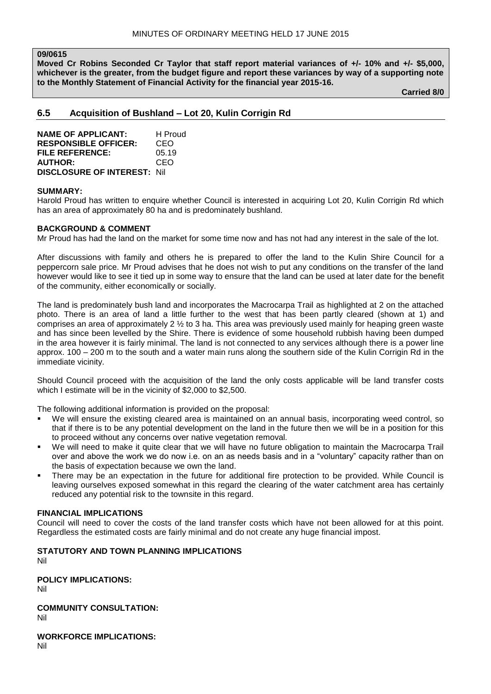#### **09/0615**

**Moved Cr Robins Seconded Cr Taylor that staff report material variances of +/- 10% and +/- \$5,000, whichever is the greater, from the budget figure and report these variances by way of a supporting note to the Monthly Statement of Financial Activity for the financial year 2015-16.**

**Carried 8/0**

### **6.5 Acquisition of Bushland – Lot 20, Kulin Corrigin Rd**

**NAME OF APPLICANT:** H Proud **RESPONSIBLE OFFICER:** CEO **FILE REFERENCE:** 05.19 **AUTHOR:** CEO **DISCLOSURE OF INTEREST:** Nil

#### **SUMMARY:**

Harold Proud has written to enquire whether Council is interested in acquiring Lot 20, Kulin Corrigin Rd which has an area of approximately 80 ha and is predominately bushland.

#### **BACKGROUND & COMMENT**

Mr Proud has had the land on the market for some time now and has not had any interest in the sale of the lot.

After discussions with family and others he is prepared to offer the land to the Kulin Shire Council for a peppercorn sale price. Mr Proud advises that he does not wish to put any conditions on the transfer of the land however would like to see it tied up in some way to ensure that the land can be used at later date for the benefit of the community, either economically or socially.

The land is predominately bush land and incorporates the Macrocarpa Trail as highlighted at 2 on the attached photo. There is an area of land a little further to the west that has been partly cleared (shown at 1) and comprises an area of approximately 2 ½ to 3 ha. This area was previously used mainly for heaping green waste and has since been levelled by the Shire. There is evidence of some household rubbish having been dumped in the area however it is fairly minimal. The land is not connected to any services although there is a power line approx. 100 – 200 m to the south and a water main runs along the southern side of the Kulin Corrigin Rd in the immediate vicinity.

Should Council proceed with the acquisition of the land the only costs applicable will be land transfer costs which I estimate will be in the vicinity of \$2,000 to \$2,500.

The following additional information is provided on the proposal:

- We will ensure the existing cleared area is maintained on an annual basis, incorporating weed control, so that if there is to be any potential development on the land in the future then we will be in a position for this to proceed without any concerns over native vegetation removal.
- We will need to make it quite clear that we will have no future obligation to maintain the Macrocarpa Trail over and above the work we do now i.e. on an as needs basis and in a "voluntary" capacity rather than on the basis of expectation because we own the land.
- There may be an expectation in the future for additional fire protection to be provided. While Council is leaving ourselves exposed somewhat in this regard the clearing of the water catchment area has certainly reduced any potential risk to the townsite in this regard.

#### **FINANCIAL IMPLICATIONS**

Council will need to cover the costs of the land transfer costs which have not been allowed for at this point. Regardless the estimated costs are fairly minimal and do not create any huge financial impost.

# **STATUTORY AND TOWN PLANNING IMPLICATIONS**

Nil

**POLICY IMPLICATIONS:** Nil

**COMMUNITY CONSULTATION:** Nil

**WORKFORCE IMPLICATIONS:** Nil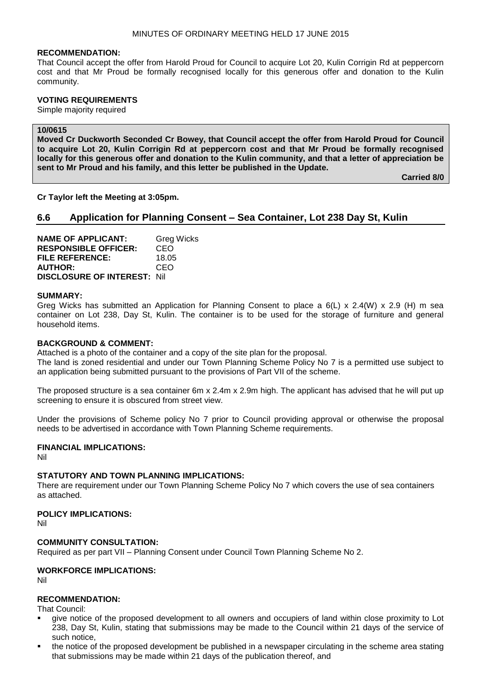#### **RECOMMENDATION:**

That Council accept the offer from Harold Proud for Council to acquire Lot 20, Kulin Corrigin Rd at peppercorn cost and that Mr Proud be formally recognised locally for this generous offer and donation to the Kulin community.

#### **VOTING REQUIREMENTS**

Simple majority required

## **10/0615**

**Moved Cr Duckworth Seconded Cr Bowey, that Council accept the offer from Harold Proud for Council to acquire Lot 20, Kulin Corrigin Rd at peppercorn cost and that Mr Proud be formally recognised locally for this generous offer and donation to the Kulin community, and that a letter of appreciation be sent to Mr Proud and his family, and this letter be published in the Update.**

**Carried 8/0**

**Cr Taylor left the Meeting at 3:05pm.**

## **6.6 Application for Planning Consent – Sea Container, Lot 238 Day St, Kulin**

| <b>NAME OF APPLICANT:</b>          | <b>Greg Wicks</b> |
|------------------------------------|-------------------|
| <b>RESPONSIBLE OFFICER:</b>        | CEO               |
| <b>FILE REFERENCE:</b>             | 18.05             |
| <b>AUTHOR:</b>                     | CEO               |
| <b>DISCLOSURE OF INTEREST: Nil</b> |                   |

#### **SUMMARY:**

Greg Wicks has submitted an Application for Planning Consent to place a 6(L) x 2.4(W) x 2.9 (H) m sea container on Lot 238, Day St, Kulin. The container is to be used for the storage of furniture and general household items.

## **BACKGROUND & COMMENT:**

Attached is a photo of the container and a copy of the site plan for the proposal. The land is zoned residential and under our Town Planning Scheme Policy No 7 is a permitted use subject to an application being submitted pursuant to the provisions of Part VII of the scheme.

The proposed structure is a sea container 6m x 2.4m x 2.9m high. The applicant has advised that he will put up screening to ensure it is obscured from street view.

Under the provisions of Scheme policy No 7 prior to Council providing approval or otherwise the proposal needs to be advertised in accordance with Town Planning Scheme requirements.

## **FINANCIAL IMPLICATIONS:**

Nil

#### **STATUTORY AND TOWN PLANNING IMPLICATIONS:**

There are requirement under our Town Planning Scheme Policy No 7 which covers the use of sea containers as attached.

#### **POLICY IMPLICATIONS:**

Nil

#### **COMMUNITY CONSULTATION:**

Required as per part VII – Planning Consent under Council Town Planning Scheme No 2.

#### **WORKFORCE IMPLICATIONS:**

Nil

#### **RECOMMENDATION:**

That Council:

- give notice of the proposed development to all owners and occupiers of land within close proximity to Lot 238, Day St, Kulin, stating that submissions may be made to the Council within 21 days of the service of such notice,
- the notice of the proposed development be published in a newspaper circulating in the scheme area stating that submissions may be made within 21 days of the publication thereof, and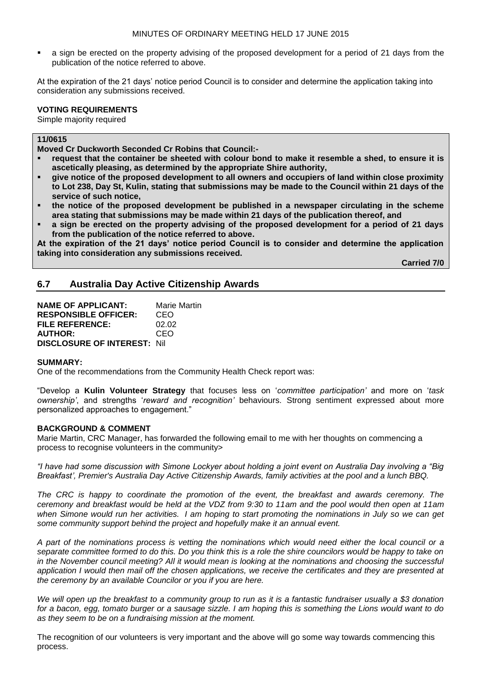a sign be erected on the property advising of the proposed development for a period of 21 days from the publication of the notice referred to above.

At the expiration of the 21 days' notice period Council is to consider and determine the application taking into consideration any submissions received.

#### **VOTING REQUIREMENTS**

Simple majority required

## **11/0615**

**Moved Cr Duckworth Seconded Cr Robins that Council:-**

- **request that the container be sheeted with colour bond to make it resemble a shed, to ensure it is ascetically pleasing, as determined by the appropriate Shire authority,**
- **give notice of the proposed development to all owners and occupiers of land within close proximity to Lot 238, Day St, Kulin, stating that submissions may be made to the Council within 21 days of the service of such notice,**
- **the notice of the proposed development be published in a newspaper circulating in the scheme area stating that submissions may be made within 21 days of the publication thereof, and**
- **a sign be erected on the property advising of the proposed development for a period of 21 days from the publication of the notice referred to above.**

**At the expiration of the 21 days' notice period Council is to consider and determine the application taking into consideration any submissions received.**

**Carried 7/0**

## **6.7 Australia Day Active Citizenship Awards**

| <b>NAME OF APPLICANT:</b>          | <b>Marie Martin</b> |
|------------------------------------|---------------------|
| <b>RESPONSIBLE OFFICER:</b>        | CEO                 |
| <b>FILE REFERENCE:</b>             | 02.02               |
| <b>AUTHOR:</b>                     | CEO                 |
| <b>DISCLOSURE OF INTEREST: Nil</b> |                     |

#### **SUMMARY:**

One of the recommendations from the Community Health Check report was:

"Develop a **Kulin Volunteer Strategy** that focuses less on '*committee participation'* and more on '*task ownership'*, and strengths '*reward and recognition'* behaviours. Strong sentiment expressed about more personalized approaches to engagement."

#### **BACKGROUND & COMMENT**

Marie Martin, CRC Manager, has forwarded the following email to me with her thoughts on commencing a process to recognise volunteers in the community>

*"I have had some discussion with Simone Lockyer about holding a joint event on Australia Day involving a "Big Breakfast', Premier's Australia Day Active Citizenship Awards, family activities at the pool and a lunch BBQ.*

*The CRC is happy to coordinate the promotion of the event, the breakfast and awards ceremony. The ceremony and breakfast would be held at the VDZ from 9:30 to 11am and the pool would then open at 11am when Simone would run her activities. I am hoping to start promoting the nominations in July so we can get some community support behind the project and hopefully make it an annual event.* 

*A part of the nominations process is vetting the nominations which would need either the local council or a separate committee formed to do this. Do you think this is a role the shire councilors would be happy to take on in the November council meeting? All it would mean is looking at the nominations and choosing the successful application I would then mail off the chosen applications, we receive the certificates and they are presented at the ceremony by an available Councilor or you if you are here.*

*We will open up the breakfast to a community group to run as it is a fantastic fundraiser usually a \$3 donation for a bacon, egg, tomato burger or a sausage sizzle. I am hoping this is something the Lions would want to do as they seem to be on a fundraising mission at the moment.*

The recognition of our volunteers is very important and the above will go some way towards commencing this process.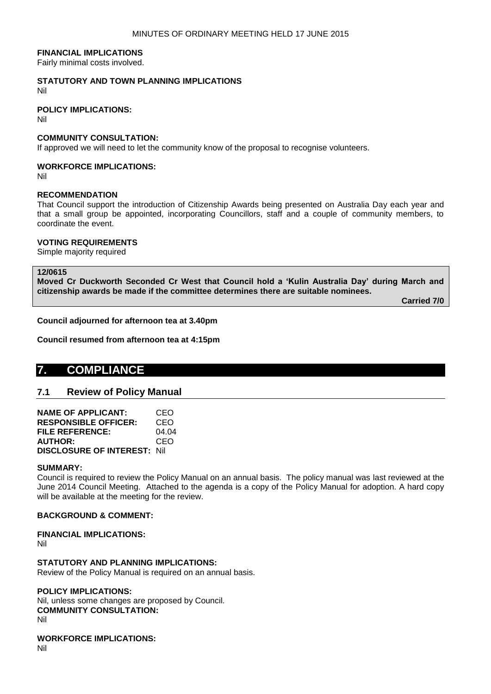#### **FINANCIAL IMPLICATIONS**

Fairly minimal costs involved.

# **STATUTORY AND TOWN PLANNING IMPLICATIONS**

Nil

#### **POLICY IMPLICATIONS:**

Nil

## **COMMUNITY CONSULTATION:**

If approved we will need to let the community know of the proposal to recognise volunteers.

#### **WORKFORCE IMPLICATIONS:**

Nil

## **RECOMMENDATION**

That Council support the introduction of Citizenship Awards being presented on Australia Day each year and that a small group be appointed, incorporating Councillors, staff and a couple of community members, to coordinate the event.

#### **VOTING REQUIREMENTS**

Simple majority required

### **12/0615**

**Moved Cr Duckworth Seconded Cr West that Council hold a 'Kulin Australia Day' during March and citizenship awards be made if the committee determines there are suitable nominees.**

**Carried 7/0**

#### **Council adjourned for afternoon tea at 3.40pm**

**Council resumed from afternoon tea at 4:15pm**

# **7. COMPLIANCE**

## **7.1 Review of Policy Manual**

| <b>NAME OF APPLICANT:</b>           | CEO   |
|-------------------------------------|-------|
| <b>RESPONSIBLE OFFICER:</b>         | CEO   |
| <b>FILE REFERENCE:</b>              | 04.04 |
| <b>AUTHOR:</b>                      | CEO   |
| <b>DISCLOSURE OF INTEREST: Nill</b> |       |

#### **SUMMARY:**

Council is required to review the Policy Manual on an annual basis. The policy manual was last reviewed at the June 2014 Council Meeting. Attached to the agenda is a copy of the Policy Manual for adoption. A hard copy will be available at the meeting for the review.

#### **BACKGROUND & COMMENT:**

#### **FINANCIAL IMPLICATIONS:**

Nil

#### **STATUTORY AND PLANNING IMPLICATIONS:**

Review of the Policy Manual is required on an annual basis.

#### **POLICY IMPLICATIONS:**

Nil, unless some changes are proposed by Council. **COMMUNITY CONSULTATION:** Nil

**WORKFORCE IMPLICATIONS:** Nil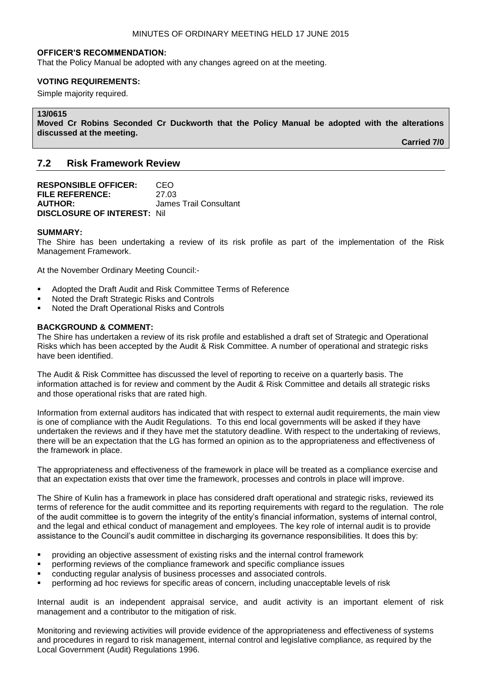#### **OFFICER'S RECOMMENDATION:**

That the Policy Manual be adopted with any changes agreed on at the meeting.

#### **VOTING REQUIREMENTS:**

Simple majority required.

## **13/0615**

**Moved Cr Robins Seconded Cr Duckworth that the Policy Manual be adopted with the alterations discussed at the meeting.**

**Carried 7/0**

## **7.2 Risk Framework Review**

**RESPONSIBLE OFFICER:** CEO **FILE REFERENCE:** 27.03 **AUTHOR:** James Trail Consultant **DISCLOSURE OF INTEREST:** Nil

#### **SUMMARY:**

The Shire has been undertaking a review of its risk profile as part of the implementation of the Risk Management Framework.

At the November Ordinary Meeting Council:-

- Adopted the Draft Audit and Risk Committee Terms of Reference
- Noted the Draft Strategic Risks and Controls
- Noted the Draft Operational Risks and Controls

#### **BACKGROUND & COMMENT:**

The Shire has undertaken a review of its risk profile and established a draft set of Strategic and Operational Risks which has been accepted by the Audit & Risk Committee. A number of operational and strategic risks have been identified.

The Audit & Risk Committee has discussed the level of reporting to receive on a quarterly basis. The information attached is for review and comment by the Audit & Risk Committee and details all strategic risks and those operational risks that are rated high.

Information from external auditors has indicated that with respect to external audit requirements, the main view is one of compliance with the Audit Regulations. To this end local governments will be asked if they have undertaken the reviews and if they have met the statutory deadline. With respect to the undertaking of reviews, there will be an expectation that the LG has formed an opinion as to the appropriateness and effectiveness of the framework in place.

The appropriateness and effectiveness of the framework in place will be treated as a compliance exercise and that an expectation exists that over time the framework, processes and controls in place will improve.

The Shire of Kulin has a framework in place has considered draft operational and strategic risks, reviewed its terms of reference for the audit committee and its reporting requirements with regard to the regulation. The role of the audit committee is to govern the integrity of the entity's financial information, systems of internal control, and the legal and ethical conduct of management and employees. The key role of internal audit is to provide assistance to the Council's audit committee in discharging its governance responsibilities. It does this by:

- providing an objective assessment of existing risks and the internal control framework
- performing reviews of the compliance framework and specific compliance issues
- conducting regular analysis of business processes and associated controls.
- performing ad hoc reviews for specific areas of concern, including unacceptable levels of risk

Internal audit is an independent appraisal service, and audit activity is an important element of risk management and a contributor to the mitigation of risk.

Monitoring and reviewing activities will provide evidence of the appropriateness and effectiveness of systems and procedures in regard to risk management, internal control and legislative compliance, as required by the Local Government (Audit) Regulations 1996.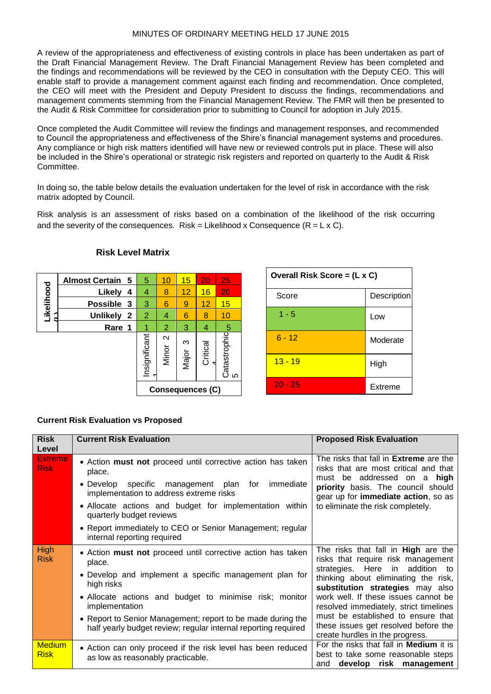## MINUTES OF ORDINARY MEETING HELD 17 JUNE 2015

A review of the appropriateness and effectiveness of existing controls in place has been undertaken as part of the Draft Financial Management Review. The Draft Financial Management Review has been completed and the findings and recommendations will be reviewed by the CEO in consultation with the Deputy CEO. This will enable staff to provide a management comment against each finding and recommendation. Once completed, the CEO will meet with the President and Deputy President to discuss the findings, recommendations and management comments stemming from the Financial Management Review. The FMR will then be presented to the Audit & Risk Committee for consideration prior to submitting to Council for adoption in July 2015.

Once completed the Audit Committee will review the findings and management responses, and recommended to Council the appropriateness and effectiveness of the Shire's financial management systems and procedures. Any compliance or high risk matters identified will have new or reviewed controls put in place. These will also be included in the Shire's operational or strategic risk registers and reported on quarterly to the Audit & Risk Committee.

In doing so, the table below details the evaluation undertaken for the level of risk in accordance with the risk matrix adopted by Council.

Risk analysis is an assessment of risks based on a combination of the likelihood of the risk occurring and the severity of the consequences. Risk = Likelihood x Consequence  $(R = L \times C)$ .

| <b>Possible</b><br>-3<br><b>Unlikely</b> | 3             | 6                                   | 9          | 12       |
|------------------------------------------|---------------|-------------------------------------|------------|----------|
|                                          |               |                                     |            |          |
|                                          |               | $\overline{2}$<br>$\mathbf{2}$<br>4 | 6          | 8        |
| Rare 1                                   |               | 2                                   | 3          | 4        |
|                                          | Insignificant | $\mathbf{\Omega}$<br>Minor          | က<br>Major | Critical |
|                                          |               |                                     |            |          |

## **Risk Level Matrix**

| Overall Risk Score = (L x C) |                    |  |
|------------------------------|--------------------|--|
| Score                        | <b>Description</b> |  |
| $1 - 5$                      | Low                |  |
| $6 - 12$                     | Moderate           |  |
| $13 - 19$                    | High               |  |
| $20 - 25$                    | Extreme            |  |

## **Current Risk Evaluation vs Proposed**

| <b>Risk</b><br>Level          | <b>Current Risk Evaluation</b>                                                                                                | <b>Proposed Risk Evaluation</b>                                                                                 |  |
|-------------------------------|-------------------------------------------------------------------------------------------------------------------------------|-----------------------------------------------------------------------------------------------------------------|--|
| <b>Extreme</b><br><b>Risk</b> | • Action must not proceed until corrective action has taken<br>place.                                                         | The risks that fall in <b>Extreme</b> are the<br>risks that are most critical and that                          |  |
|                               | • Develop specific management plan<br>for<br>immediate<br>implementation to address extreme risks                             | must be addressed on a high<br>priority basis. The council should<br>gear up for immediate action, so as        |  |
|                               | • Allocate actions and budget for implementation within<br>quarterly budget reviews                                           | to eliminate the risk completely.                                                                               |  |
|                               | • Report immediately to CEO or Senior Management; regular<br>internal reporting required                                      |                                                                                                                 |  |
| <b>High</b><br><b>Risk</b>    | • Action must not proceed until corrective action has taken<br>place.                                                         | The risks that fall in <b>High</b> are the<br>risks that require risk management                                |  |
|                               | • Develop and implement a specific management plan for<br>high risks                                                          | Here in addition to<br>strategies.<br>thinking about eliminating the risk,<br>substitution strategies may also  |  |
|                               | • Allocate actions and budget to minimise risk; monitor<br>implementation                                                     | work well. If these issues cannot be<br>resolved immediately, strict timelines                                  |  |
|                               | • Report to Senior Management; report to be made during the<br>half yearly budget review; regular internal reporting required | must be established to ensure that<br>these issues get resolved before the<br>create hurdles in the progress.   |  |
| <b>Medium</b><br><b>Risk</b>  | • Action can only proceed if the risk level has been reduced<br>as low as reasonably practicable.                             | For the risks that fall in Medium it is<br>best to take some reasonable steps<br>develop risk management<br>and |  |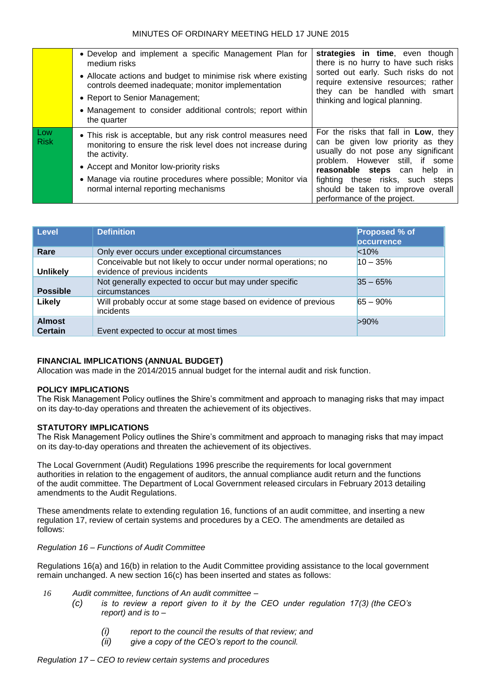|                    | • Develop and implement a specific Management Plan for<br>medium risks<br>• Allocate actions and budget to minimise risk where existing<br>controls deemed inadequate; monitor implementation<br>• Report to Senior Management;<br>• Management to consider additional controls; report within   | strategies in time, even though<br>there is no hurry to have such risks<br>sorted out early. Such risks do not<br>require extensive resources; rather<br>they can be handled with smart<br>thinking and logical planning.                                                                           |
|--------------------|--------------------------------------------------------------------------------------------------------------------------------------------------------------------------------------------------------------------------------------------------------------------------------------------------|-----------------------------------------------------------------------------------------------------------------------------------------------------------------------------------------------------------------------------------------------------------------------------------------------------|
|                    | the quarter                                                                                                                                                                                                                                                                                      |                                                                                                                                                                                                                                                                                                     |
| Low<br><b>Risk</b> | • This risk is acceptable, but any risk control measures need<br>monitoring to ensure the risk level does not increase during<br>the activity.<br>• Accept and Monitor low-priority risks<br>• Manage via routine procedures where possible; Monitor via<br>normal internal reporting mechanisms | For the risks that fall in Low, they<br>can be given low priority as they<br>usually do not pose any significant<br>problem. However still, if some<br><b>reasonable steps</b> can help in<br>fighting these risks, such steps<br>should be taken to improve overall<br>performance of the project. |

| <b>Level</b>                    | <b>Definition</b>                                                                                 | Proposed % of<br><b>pccurrence</b> |
|---------------------------------|---------------------------------------------------------------------------------------------------|------------------------------------|
| Rare                            | Only ever occurs under exceptional circumstances                                                  | < 10%                              |
| <b>Unlikely</b>                 | Conceivable but not likely to occur under normal operations; no<br>evidence of previous incidents | $10 - 35%$                         |
| <b>Possible</b>                 | Not generally expected to occur but may under specific<br>circumstances                           | $35 - 65%$                         |
| Likely                          | Will probably occur at some stage based on evidence of previous<br>incidents                      | $65 - 90%$                         |
| <b>Almost</b><br><b>Certain</b> | Event expected to occur at most times                                                             | $>90\%$                            |

## **FINANCIAL IMPLICATIONS (ANNUAL BUDGET)**

Allocation was made in the 2014/2015 annual budget for the internal audit and risk function.

## **POLICY IMPLICATIONS**

The Risk Management Policy outlines the Shire's commitment and approach to managing risks that may impact on its day-to-day operations and threaten the achievement of its objectives.

## **STATUTORY IMPLICATIONS**

The Risk Management Policy outlines the Shire's commitment and approach to managing risks that may impact on its day-to-day operations and threaten the achievement of its objectives.

The Local Government (Audit) Regulations 1996 prescribe the requirements for local government authorities in relation to the engagement of auditors, the annual compliance audit return and the functions of the audit committee. The Department of Local Government released circulars in February 2013 detailing amendments to the Audit Regulations.

These amendments relate to extending regulation 16, functions of an audit committee, and inserting a new regulation 17, review of certain systems and procedures by a CEO. The amendments are detailed as follows:

## *Regulation 16 – Functions of Audit Committee*

Regulations 16(a) and 16(b) in relation to the Audit Committee providing assistance to the local government remain unchanged. A new section 16(c) has been inserted and states as follows:

- *16 Audit committee, functions of An audit committee –*
	- *(c) is to review a report given to it by the CEO under regulation 17(3) (the CEO's report) and is to –*
		- *(i) report to the council the results of that review; and*
		- *(ii) give a copy of the CEO's report to the council.*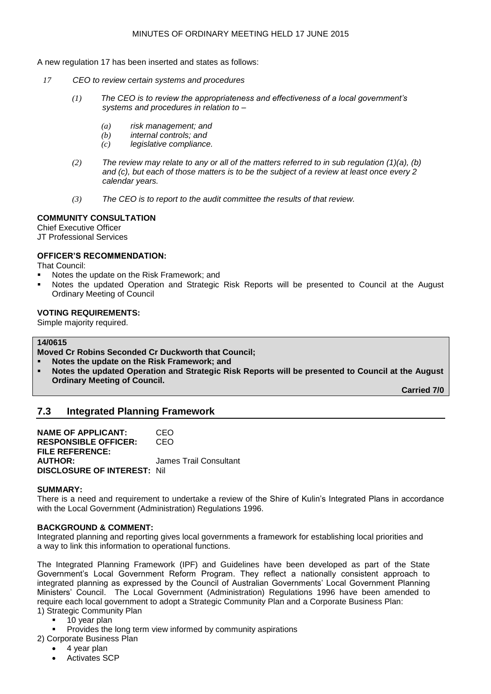A new regulation 17 has been inserted and states as follows:

- *17 CEO to review certain systems and procedures*
	- *(1) The CEO is to review the appropriateness and effectiveness of a local government's systems and procedures in relation to –*
		- *(a) risk management; and*
		- *(b) internal controls; and*
		- *(c) legislative compliance.*
	- *(2) The review may relate to any or all of the matters referred to in sub regulation (1)(a), (b) and (c), but each of those matters is to be the subject of a review at least once every 2 calendar years.*
	- *(3) The CEO is to report to the audit committee the results of that review.*

## **COMMUNITY CONSULTATION**

Chief Executive Officer

JT Professional Services

## **OFFICER'S RECOMMENDATION:**

That Council:

- Notes the update on the Risk Framework; and
- Notes the updated Operation and Strategic Risk Reports will be presented to Council at the August Ordinary Meeting of Council

## **VOTING REQUIREMENTS:**

Simple majority required.

## **14/0615**

**Moved Cr Robins Seconded Cr Duckworth that Council;**

- **Notes the update on the Risk Framework; and**
- **Notes the updated Operation and Strategic Risk Reports will be presented to Council at the August Ordinary Meeting of Council.**

**Carried 7/0**

## **7.3 Integrated Planning Framework**

**NAME OF APPLICANT:** CEO **RESPONSIBLE OFFICER:** CEO **FILE REFERENCE: AUTHOR:** James Trail Consultant **DISCLOSURE OF INTEREST:** Nil

#### **SUMMARY:**

There is a need and requirement to undertake a review of the Shire of Kulin's Integrated Plans in accordance with the Local Government (Administration) Regulations 1996.

## **BACKGROUND & COMMENT:**

Integrated planning and reporting gives local governments a framework for establishing local priorities and a way to link this information to operational functions.

The Integrated Planning Framework (IPF) and Guidelines have been developed as part of the State Government's Local Government Reform Program. They reflect a nationally consistent approach to integrated planning as expressed by the Council of Australian Governments' Local Government Planning Ministers' Council. The Local Government (Administration) Regulations 1996 have been amended to require each local government to adopt a Strategic Community Plan and a Corporate Business Plan: 1) Strategic Community Plan

- 10 year plan
- Provides the long term view informed by community aspirations
- 2) Corporate Business Plan
	- 4 year plan
	- Activates SCP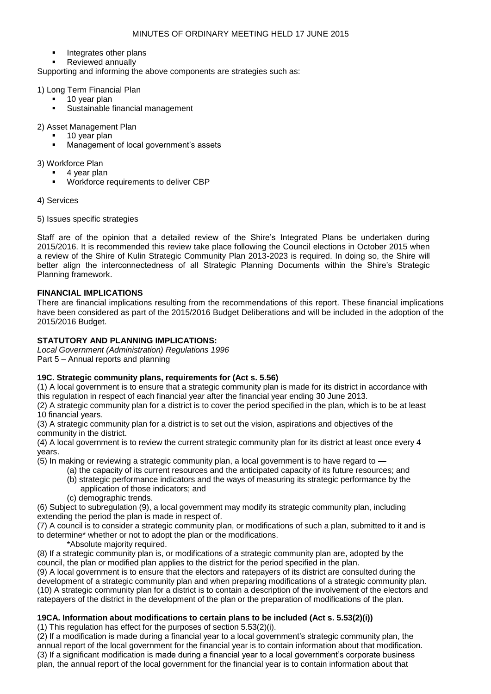- Integrates other plans
- Reviewed annually

Supporting and informing the above components are strategies such as:

1) Long Term Financial Plan

- 10 year plan
- Sustainable financial management

2) Asset Management Plan

- 10 year plan
- Management of local government's assets

3) Workforce Plan

- 4 year plan
- Workforce requirements to deliver CBP

4) Services

5) Issues specific strategies

Staff are of the opinion that a detailed review of the Shire's Integrated Plans be undertaken during 2015/2016. It is recommended this review take place following the Council elections in October 2015 when a review of the Shire of Kulin Strategic Community Plan 2013-2023 is required. In doing so, the Shire will better align the interconnectedness of all Strategic Planning Documents within the Shire's Strategic Planning framework.

## **FINANCIAL IMPLICATIONS**

There are financial implications resulting from the recommendations of this report. These financial implications have been considered as part of the 2015/2016 Budget Deliberations and will be included in the adoption of the 2015/2016 Budget.

## **STATUTORY AND PLANNING IMPLICATIONS:**

*Local Government (Administration) Regulations 1996*  Part 5 – Annual reports and planning

## **19C. Strategic community plans, requirements for (Act s. 5.56)**

(1) A local government is to ensure that a strategic community plan is made for its district in accordance with this regulation in respect of each financial year after the financial year ending 30 June 2013.

(2) A strategic community plan for a district is to cover the period specified in the plan, which is to be at least 10 financial years.

(3) A strategic community plan for a district is to set out the vision, aspirations and objectives of the community in the district.

(4) A local government is to review the current strategic community plan for its district at least once every 4 years.

(5) In making or reviewing a strategic community plan, a local government is to have regard to —

- (a) the capacity of its current resources and the anticipated capacity of its future resources; and (b) strategic performance indicators and the ways of measuring its strategic performance by the application of those indicators; and
- (c) demographic trends.

(6) Subject to subregulation (9), a local government may modify its strategic community plan, including extending the period the plan is made in respect of.

(7) A council is to consider a strategic community plan, or modifications of such a plan, submitted to it and is to determine\* whether or not to adopt the plan or the modifications.

\*Absolute majority required.

(8) If a strategic community plan is, or modifications of a strategic community plan are, adopted by the council, the plan or modified plan applies to the district for the period specified in the plan.

(9) A local government is to ensure that the electors and ratepayers of its district are consulted during the development of a strategic community plan and when preparing modifications of a strategic community plan. (10) A strategic community plan for a district is to contain a description of the involvement of the electors and ratepayers of the district in the development of the plan or the preparation of modifications of the plan.

## **19CA. Information about modifications to certain plans to be included (Act s. 5.53(2)(i))**

(1) This regulation has effect for the purposes of section 5.53(2)(i).

(2) If a modification is made during a financial year to a local government's strategic community plan, the annual report of the local government for the financial year is to contain information about that modification. (3) If a significant modification is made during a financial year to a local government's corporate business plan, the annual report of the local government for the financial year is to contain information about that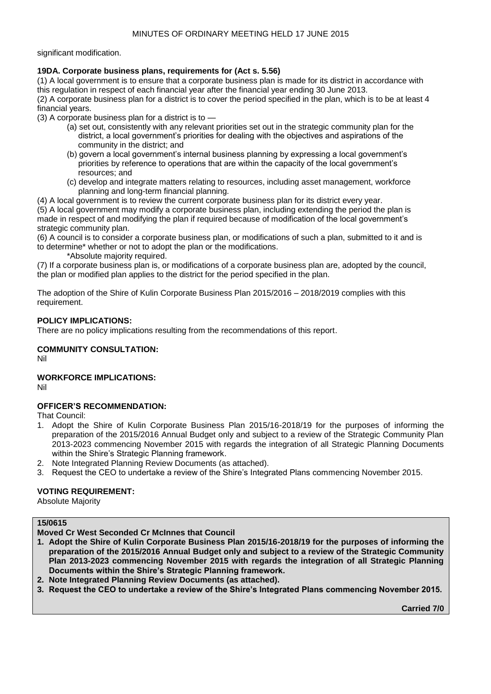significant modification.

## **19DA. Corporate business plans, requirements for (Act s. 5.56)**

(1) A local government is to ensure that a corporate business plan is made for its district in accordance with this regulation in respect of each financial year after the financial year ending 30 June 2013. (2) A corporate business plan for a district is to cover the period specified in the plan, which is to be at least 4

financial years. (3) A corporate business plan for a district is to —

- (a) set out, consistently with any relevant priorities set out in the strategic community plan for the district, a local government's priorities for dealing with the objectives and aspirations of the community in the district; and
- (b) govern a local government's internal business planning by expressing a local government's priorities by reference to operations that are within the capacity of the local government's resources; and
- (c) develop and integrate matters relating to resources, including asset management, workforce planning and long-term financial planning.

(4) A local government is to review the current corporate business plan for its district every year.

(5) A local government may modify a corporate business plan, including extending the period the plan is made in respect of and modifying the plan if required because of modification of the local government's strategic community plan.

(6) A council is to consider a corporate business plan, or modifications of such a plan, submitted to it and is to determine\* whether or not to adopt the plan or the modifications.

\*Absolute majority required.

(7) If a corporate business plan is, or modifications of a corporate business plan are, adopted by the council, the plan or modified plan applies to the district for the period specified in the plan.

The adoption of the Shire of Kulin Corporate Business Plan 2015/2016 – 2018/2019 complies with this requirement.

## **POLICY IMPLICATIONS:**

There are no policy implications resulting from the recommendations of this report.

# **COMMUNITY CONSULTATION:**

Nil

## **WORKFORCE IMPLICATIONS:**

Nil

## **OFFICER'S RECOMMENDATION:**

That Council:

- 1. Adopt the Shire of Kulin Corporate Business Plan 2015/16-2018/19 for the purposes of informing the preparation of the 2015/2016 Annual Budget only and subject to a review of the Strategic Community Plan 2013-2023 commencing November 2015 with regards the integration of all Strategic Planning Documents within the Shire's Strategic Planning framework.
- 2. Note Integrated Planning Review Documents (as attached).
- 3. Request the CEO to undertake a review of the Shire's Integrated Plans commencing November 2015.

## **VOTING REQUIREMENT:**

Absolute Majority

# **15/0615**

**Moved Cr West Seconded Cr McInnes that Council**

- **1. Adopt the Shire of Kulin Corporate Business Plan 2015/16-2018/19 for the purposes of informing the preparation of the 2015/2016 Annual Budget only and subject to a review of the Strategic Community Plan 2013-2023 commencing November 2015 with regards the integration of all Strategic Planning Documents within the Shire's Strategic Planning framework.**
- **2. Note Integrated Planning Review Documents (as attached).**
- **3. Request the CEO to undertake a review of the Shire's Integrated Plans commencing November 2015.**

**Carried 7/0**